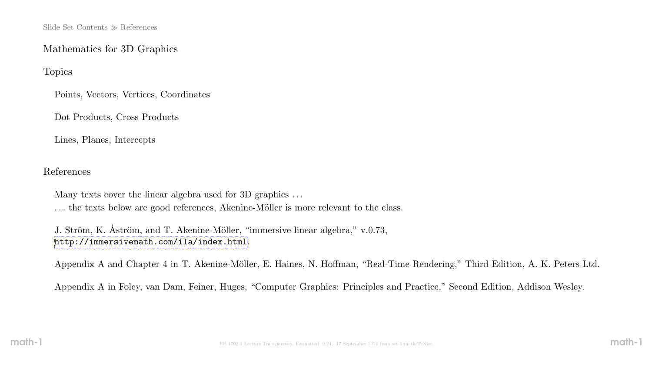### Mathematics for 3D Graphics

Topics

Points, Vectors, Vertices, Coordinates

Dot Products, Cross Products

Lines, Planes, Intercepts

References

Many texts cover the linear algebra used for 3D graphics ... ... the texts below are good references, Akenine-Möller is more relevant to the class.

J. Ström, K. Aström, and T. Akenine-Möller, "immersive linear algebra," v.0.73, <http://immersivemath.com/ila/index.html>.

Appendix A and Chapter 4 in T. Akenine-Möller, E. Haines, N. Hoffman, "Real-Time Rendering," Third Edition, A. K. Peters Ltd.

Appendix A in Foley, van Dam, Feiner, Huges, "Computer Graphics: Principles and Practice," Second Edition, Addison Wesley.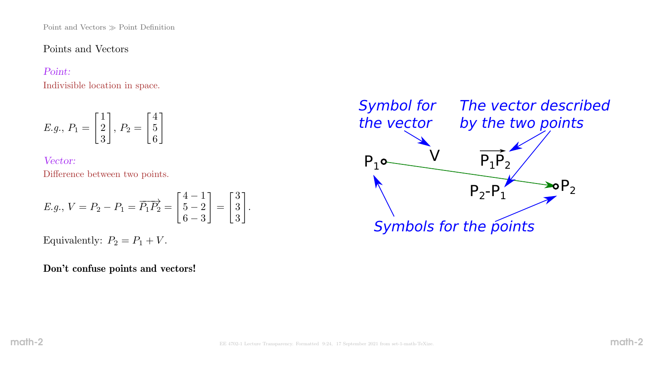Point and Vectors  $\gg$  Point Definition

Points and Vectors

#### Point:

Indivisible location in space.

$$
E.g., P_1 = \begin{bmatrix} 1 \\ 2 \\ 3 \end{bmatrix}, P_2 = \begin{bmatrix} 4 \\ 5 \\ 6 \end{bmatrix}
$$

Vector: Difference between two points.

*E.g.*, 
$$
V = P_2 - P_1 = \overrightarrow{P_1P_2} = \begin{bmatrix} 4-1 \\ 5-2 \\ 6-3 \end{bmatrix} = \begin{bmatrix} 3 \\ 3 \\ 3 \end{bmatrix}
$$
.

Equivalently:  $P_2 = P_1 + V$ .

Don't confuse points and vectors!

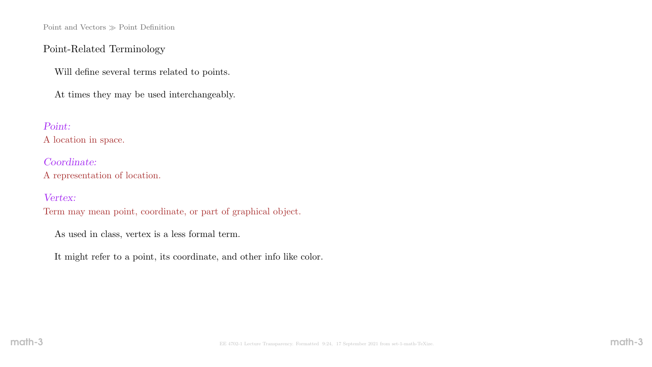Point and Vectors  $\gg$  Point Definition

### Point-Related Terminology

Will define several terms related to points.

At times they may be used interchangeably.

#### Point:

A location in space.

Coordinate: A representation of location.

#### Vertex:

Term may mean point, coordinate, or part of graphical object.

As used in class, vertex is a less formal term.

It might refer to a point, its coordinate, and other info like color.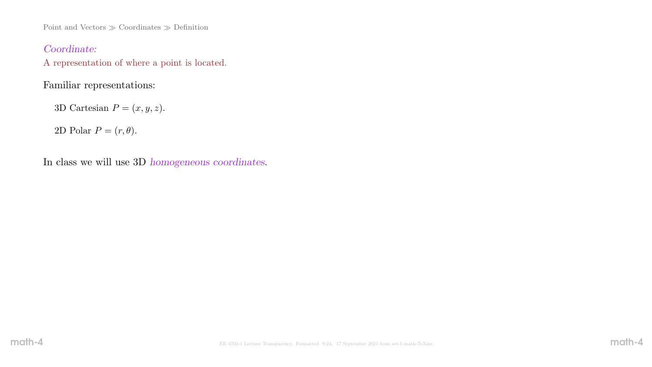Point and Vectors  $\gg$  Coordinates  $\gg$  Definition

### Coordinate:

A representation of where a point is located.

# Familiar representations:

3D Cartesian  $P = (x, y, z)$ .

2D Polar  $P = (r, \theta)$ .

In class we will use 3D homogeneous coordinates.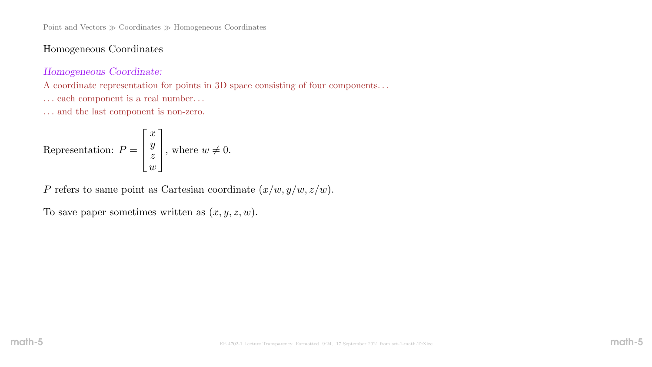Point and Vectors  $\gg$  Coordinates  $\gg$  Homogeneous Coordinates

### Homogeneous Coordinates

#### Homogeneous Coordinate:

A coordinate representation for points in 3D space consisting of four components. . .

 $\ldots$  each component is a real number.  $\ldots$ 

 $\ldots$  and the last component is non-zero.

Representation: 
$$
P = \begin{bmatrix} x \\ y \\ z \\ w \end{bmatrix}
$$
, where  $w \neq 0$ .

P refers to same point as Cartesian coordinate  $(x/w, y/w, z/w)$ .

To save paper sometimes written as  $(x, y, z, w)$ .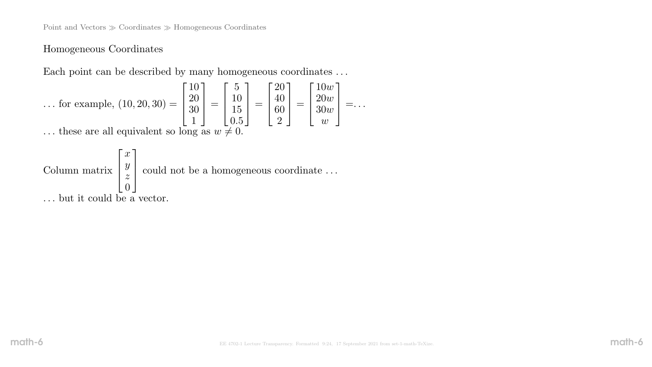### Homogeneous Coordinates

Each point can be described by many homogeneous coordinates . . .

$$
\dots \text{ for example, } (10, 20, 30) = \begin{bmatrix} 10 \\ 20 \\ 30 \\ 1 \end{bmatrix} = \begin{bmatrix} 5 \\ 10 \\ 15 \\ 0.5 \end{bmatrix} = \begin{bmatrix} 20 \\ 40 \\ 60 \\ 2 \end{bmatrix} = \begin{bmatrix} 10w \\ 20w \\ 30w \\ w \end{bmatrix} = \dots
$$
  
 
$$
\text{these are all equivalent so long as } w \neq 0.
$$

 $\ldots$  these are all equivalent so long as  $w \neq 0$ .

Column matrix  $\sqrt{ }$  $\overline{\phantom{a}}$  $\overline{1}$  $\mathcal{X}$  $\hat{y}$ z  $\overline{0}$ 1 could not be a homogeneous coordinate ... . . . but it could be a vector.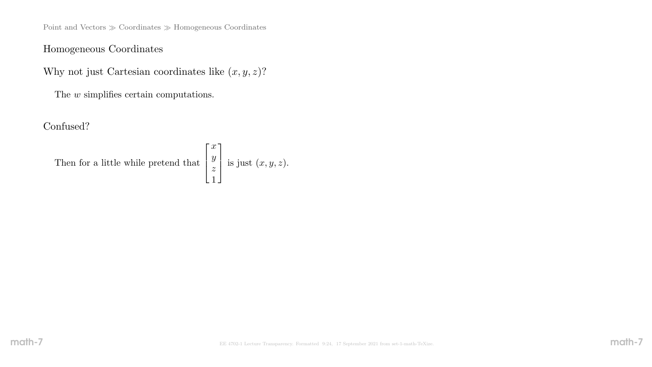Point and Vectors  $\gg$  Coordinates  $\gg$  Homogeneous Coordinates

# Homogeneous Coordinates

Why not just Cartesian coordinates like  $(x, y, z)$ ?

The  $w$  simplifies certain computations.

Confused?

Then for a little while pretend that 
$$
\begin{bmatrix} x \\ y \\ z \\ 1 \end{bmatrix}
$$
 is just  $(x, y, z)$ .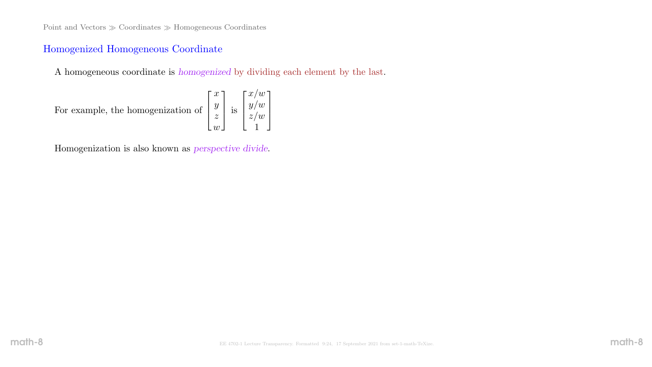### Homogenized Homogeneous Coordinate

A homogeneous coordinate is homogenized by dividing each element by the last.

For example, the homogenization of 
$$
\begin{bmatrix} x \\ y \\ z \\ w \end{bmatrix}
$$
 is 
$$
\begin{bmatrix} x/w \\ y/w \\ z/w \\ 1 \end{bmatrix}
$$

Homogenization is also known as perspective divide.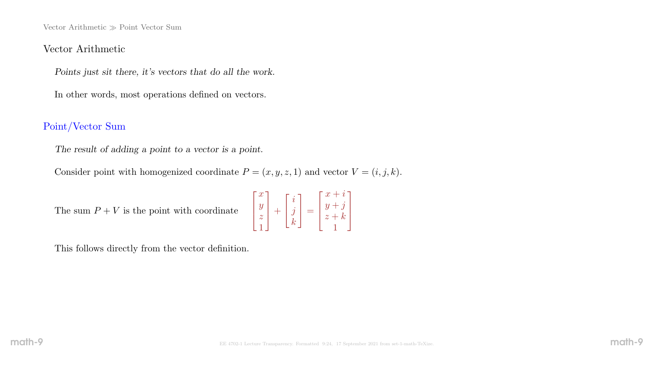Vector Arithmetic  $\gg$  Point Vector Sum

#### Vector Arithmetic

Points just sit there, it's vectors that do all the work.

In other words, most operations defined on vectors.

### Point/Vector Sum

The result of adding a point to a vector is a point.

Consider point with homogenized coordinate  $P = (x, y, z, 1)$  and vector  $V = (i, j, k)$ .

The sum  $\mathcal{P}+\mathcal{V}$  is the point with coordinate

$$
\begin{bmatrix} x \\ y \\ z \\ 1 \end{bmatrix} + \begin{bmatrix} i \\ j \\ k \end{bmatrix} = \begin{bmatrix} x+i \\ y+j \\ z+k \\ 1 \end{bmatrix}
$$

This follows directly from the vector definition.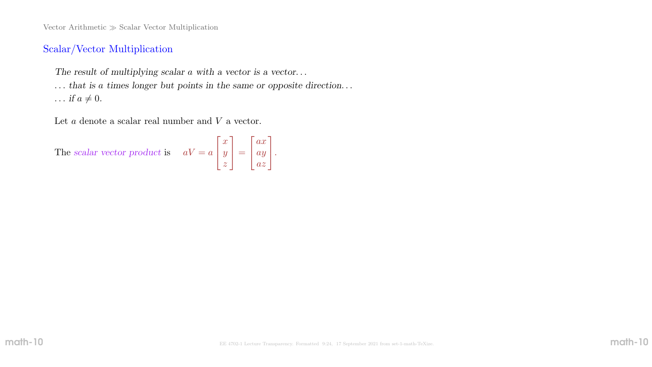Vector Arithmetic  $\gg$  Scalar Vector Multiplication

### Scalar/Vector Multiplication

The result of multiplying scalar a with a vector is a vector...

... that is a times longer but points in the same or opposite direction...

 $\ldots$  if  $a \neq 0$ .

Let a denote a scalar real number and V a vector.

The scalar vector product is  $aV = a$  $\lceil$  $\perp$  $\overline{x}$  $\hat{y}$ z 1  $\vert$  =  $\lceil$  $\mathbf{1}$ ax ay az 1  $\vert \cdot$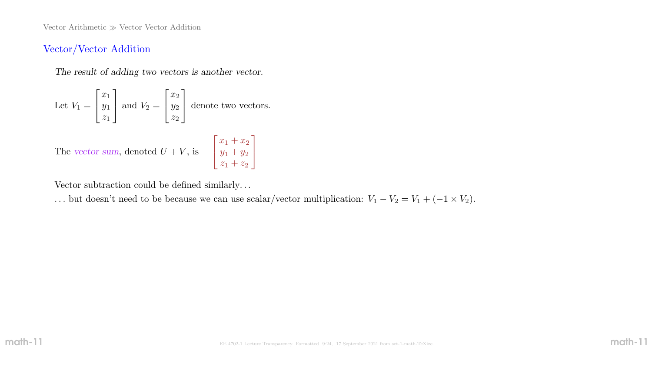Vector Arithmetic  $\gg$  Vector Vector Addition

### Vector/Vector Addition

The result of adding two vectors is another vector.

Let 
$$
V_1 = \begin{bmatrix} x_1 \\ y_1 \\ z_1 \end{bmatrix}
$$
 and  $V_2 = \begin{bmatrix} x_2 \\ y_2 \\ z_2 \end{bmatrix}$  denote two vectors.

The vector sum, denoted  $U + V$ , is  $\lceil$  $\perp$  $x_1 + x_2$  $y_1 + y_2$  $z_1 + z_2$ 

Vector subtraction could be defined similarly. . .

... but doesn't need to be because we can use scalar/vector multiplication:  $V_1 - V_2 = V_1 + (-1 \times V_2)$ .

1

 $\mathbb{R}$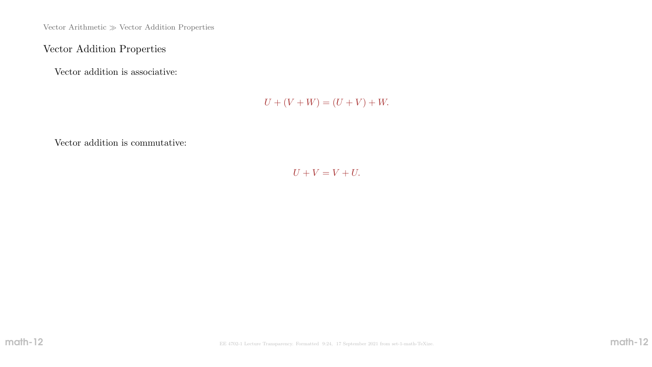Vector Arithmetic  $\gg$  Vector Addition Properties

# Vector Addition Properties

Vector addition is associative:

 $U + (V + W) = (U + V) + W.$ 

Vector addition is commutative:

 $U + V = V + U$ .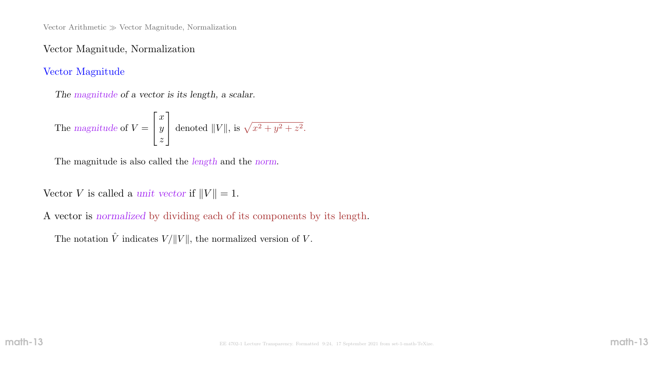Vector Arithmetic  $\gg$  Vector Magnitude, Normalization

### Vector Magnitude, Normalization

### Vector Magnitude

The magnitude of a vector is its length, a scalar.

The magnitude of 
$$
V = \begin{bmatrix} x \\ y \\ z \end{bmatrix}
$$
 denoted  $||V||$ , is  $\sqrt{x^2 + y^2 + z^2}$ .

The magnitude is also called the length and the norm.

Vector V is called a unit vector if  $||V|| = 1$ .

A vector is normalized by dividing each of its components by its length.

The notation  $\hat{V}$  indicates  $V/\|V\|$ , the normalized version of V.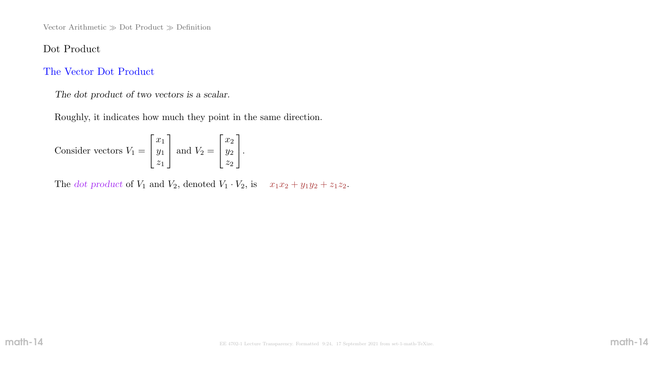Vector Arithmetic  $\gg$  Dot Product  $\gg$  Definition

### Dot Product

#### The Vector Dot Product

The dot product of two vectors is a scalar.

Roughly, it indicates how much they point in the same direction.

Consider vectors  $V_1$  =  $\sqrt{ }$  $\overline{\phantom{a}}$  $\overline{x}_1$  $y_1$  $z_1$ 1 | and  $V_2$  =  $\sqrt{ }$  $\overline{\phantom{a}}$  $\overline{x_2}$  $y_2$  $z_2$ 1  $\vert \cdot$ 

The dot product of  $V_1$  and  $V_2$ , denoted  $V_1 \cdot V_2$ , is  $x_1x_2 + y_1y_2 + z_1z_2$ .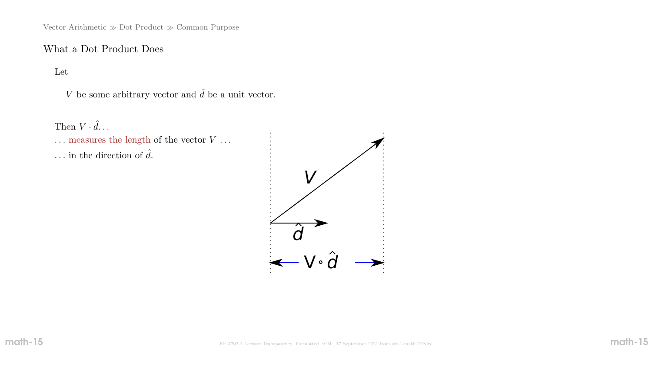Vector Arithmetic  $\gg$  Dot Product  $\gg$  Common Purpose

## What a Dot Product Does

Let

V be some arbitrary vector and  $\hat{d}$  be a unit vector.

Then  $V \cdot \hat{d} \dots$ 

 $\ldots$  measures the length of the vector  $V$   $\ldots$ 

... in the direction of  $\hat{d}$ .

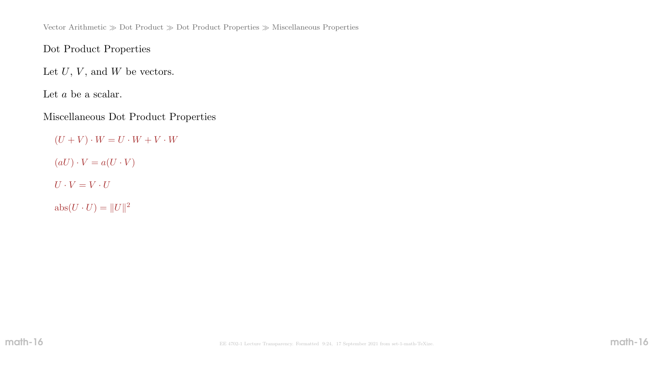Vector Arithmetic  $\gg$  Dot Product  $\gg$  Dot Product Properties  $\gg$  Miscellaneous Properties

Dot Product Properties

Let  $U, V$ , and  $W$  be vectors.

Let  $a$  be a scalar.

Miscellaneous Dot Product Properties

 $(U + V) \cdot W = U \cdot W + V \cdot W$  $(aU) \cdot V = a(U \cdot V)$  $U \cdot V = V \cdot U$  $\mathrm{abs}(U \cdot U) = ||U||^2$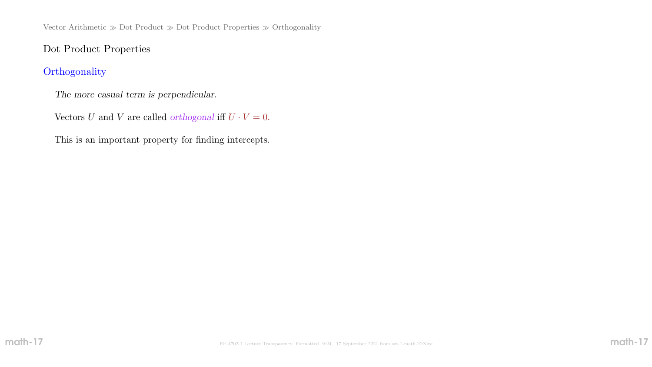Vector Arithmetic  $\gg$  Dot Product $\gg$  Dot Product Properties  $\gg$  Orthogonality

### Dot Product Properties

# **Orthogonality**

The more casual term is perpendicular.

Vectors U and V are called *orthogonal* iff  $U \cdot V = 0$ .

This is an important property for finding intercepts.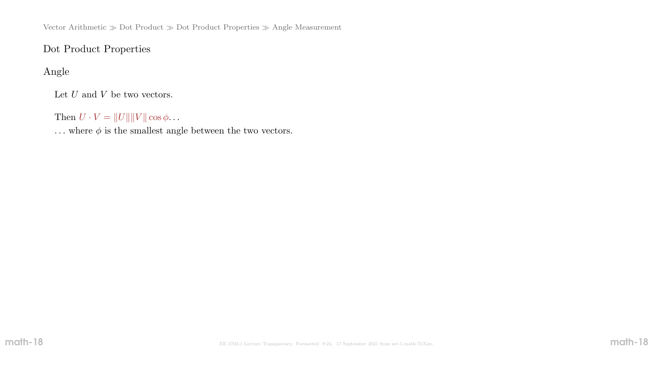Vector Arithmetic  $\gg$  Dot Product  $\gg$  Dot Product Properties  $\gg$  Angle Measurement

# Dot Product Properties

# Angle

Let  $U$  and  $V$  be two vectors.

Then  $U \cdot V = ||U|| ||V|| \cos \phi \dots$ 

 $\ldots$  where  $\phi$  is the smallest angle between the two vectors.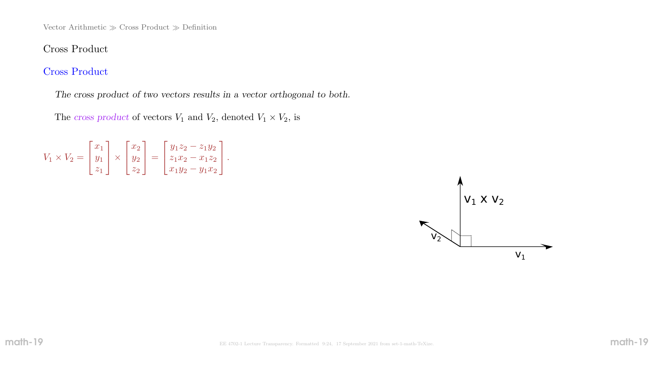# Cross Product

# Cross Product

The cross product of two vectors results in a vector orthogonal to both.

The cross product of vectors  $V_1$  and  $V_2$ , denoted  $V_1 \times V_2$ , is

| $V_1 \times V_2 =  y_1 $ | $x_1$ | $\vert x_1 \times \vert y_2 \vert$ = | $\mid x_2 \mid$ |  | $\left[\begin{array}{cc} y_1z_2-z_1y_2\end{array}\right]$<br>$ z_1x_2 - x_1z_2 $ |  |
|--------------------------|-------|--------------------------------------|-----------------|--|----------------------------------------------------------------------------------|--|
|                          |       |                                      | $z_2$           |  | $\lfloor x_1y_2-y_1x_2\rfloor$                                                   |  |

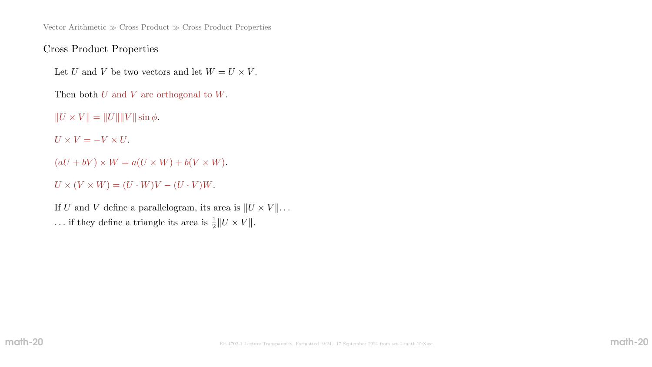Vector Arithmetic  $\gg$  Cross Product  $\gg$  Cross Product Properties

### Cross Product Properties

Let U and V be two vectors and let  $W = U \times V$ .

Then both U and V are orthogonal to W.

 $||U \times V|| = ||U|| ||V|| \sin \phi.$ 

 $U \times V = -V \times U$ .

 $(aU + bV) \times W = a(U \times W) + b(V \times W).$ 

 $U \times (V \times W) = (U \cdot W)V - (U \cdot V)W.$ 

If U and V define a parallelogram, its area is  $||U \times V|| \dots$ ... if they define a triangle its area is  $\frac{1}{2}||U \times V||$ .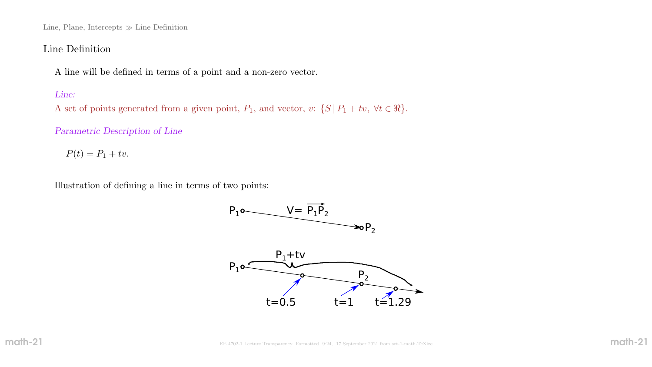Line, Plane, Intercepts  $\gg$  Line Definition

#### Line Definition

A line will be defined in terms of a point and a non-zero vector.

#### Line:

A set of points generated from a given point,  $P_1$ , and vector,  $v: \{S | P_1 + tv, \forall t \in \Re\}.$ 

Parametric Description of Line

 $P(t) = P_1 + tv.$ 

Illustration of defining a line in terms of two points:

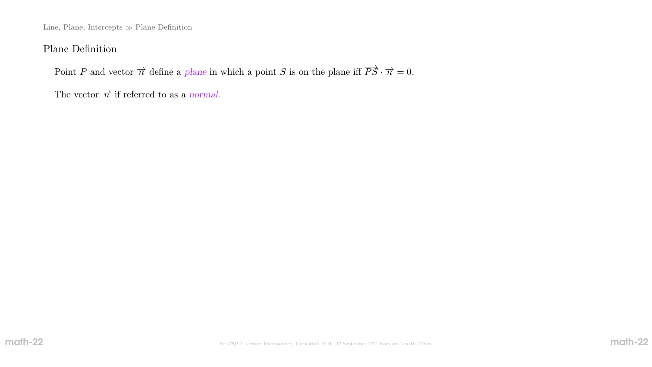Line, Plane, Intercepts  $\gg$  Plane Definition

### Plane Definition

Point P and vector  $\vec{n}$  define a plane in which a point S is on the plane iff  $\vec{PS} \cdot \vec{n} = 0$ .

The vector  $\vec{\pi}$  if referred to as a normal.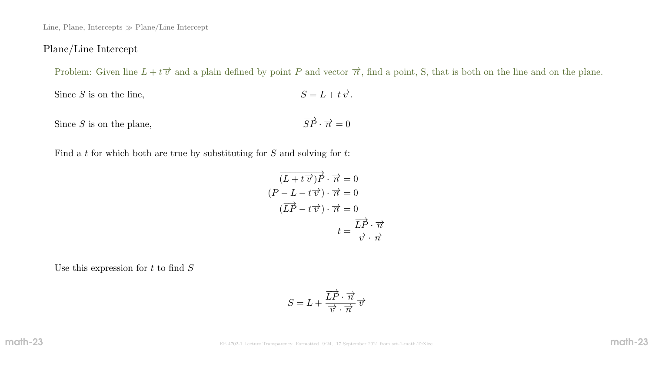Line, Plane, Intercepts  $\gg$  Plane/Line Intercept

### Plane/Line Intercept

Problem: Given line  $L + t\overrightarrow{v}$  and a plain defined by point P and vector  $\overrightarrow{n}$ , find a point, S, that is both on the line and on the plane.

Since  $S$  is on the line,  $S=L+t\overrightarrow{v}.$ 

Since  $S$  is on the plane,  $\overrightarrow{SP}\cdot\overrightarrow{n}=0$ 

Find a t for which both are true by substituting for  $S$  and solving for  $t$ :

$$
\overrightarrow{(L+t\overrightarrow{v})}\overrightarrow{P} \cdot \overrightarrow{n} = 0
$$

$$
(P-L-t\overrightarrow{v}) \cdot \overrightarrow{n} = 0
$$

$$
(\overrightarrow{LP}-t\overrightarrow{v}) \cdot \overrightarrow{n} = 0
$$

$$
t = \frac{\overrightarrow{LP} \cdot \overrightarrow{n}}{\overrightarrow{v} \cdot \overrightarrow{n}}
$$

Use this expression for  $t$  to find  ${\cal S}$ 

$$
S = L + \frac{\overrightarrow{LP} \cdot \overrightarrow{n}}{\overrightarrow{v} \cdot \overrightarrow{n}} \overrightarrow{v}
$$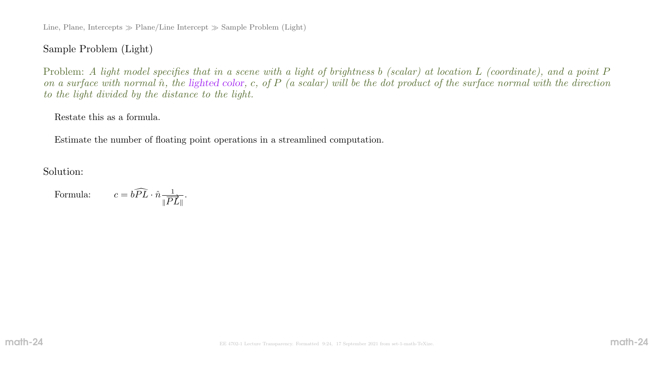Line, Plane, Intercepts  $\gg$  Plane/Line Intercept  $\gg$  Sample Problem (Light)

 $\frac{1}{\| \overrightarrow{PL} \|}.$ 

### Sample Problem (Light)

Problem: A light model specifies that in a scene with a light of brightness b (scalar) at location L (coordinate), and a point P on a surface with normal  $\hat{n}$ , the lighted color, c, of P (a scalar) will be the dot product of the surface normal with the direction to the light divided by the distance to the light.

#### Restate this as a formula.

Estimate the number of floating point operations in a streamlined computation.

Solution:

Formula:  $c = b\widehat{PL} \cdot \hat{n} \frac{1}{\|\overline{P}\|}$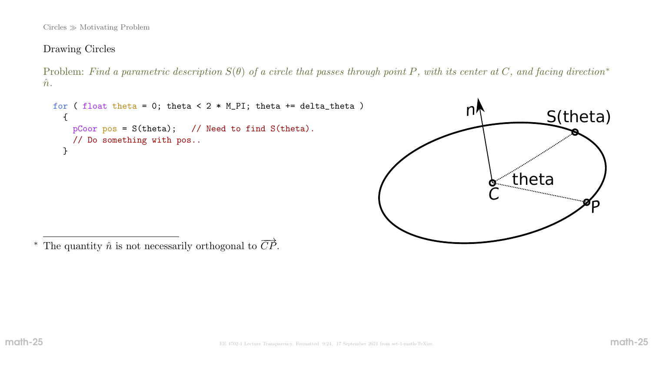$Circles \gg Motivating Problem$ 

### Drawing Circles

Problem: Find a parametric description  $S(\theta)$  of a circle that passes through point P, with its center at C, and facing direction\*  $\hat{n}$ .

```
for ( float theta = 0; theta < 2 * M_P I; theta += delta_theta )
  \{pCoor pos = S(theta); // Need to find S(theta).
    // Do something with pos..
  }
```


\* The quantity  $\hat{n}$  is not necessarily orthogonal to  $\overrightarrow{CP}$ .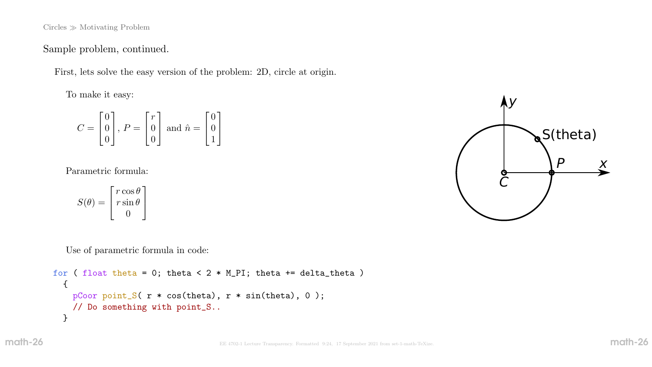$Circles \gg Motivating Problem$ 

Sample problem, continued.

First, lets solve the easy version of the problem: 2D, circle at origin.

To make it easy:

$$
C = \begin{bmatrix} 0 \\ 0 \\ 0 \end{bmatrix}, P = \begin{bmatrix} r \\ 0 \\ 0 \end{bmatrix} \text{ and } \hat{n} = \begin{bmatrix} 0 \\ 0 \\ 1 \end{bmatrix}
$$

Parametric formula:

$$
S(\theta) = \begin{bmatrix} r \cos \theta \\ r \sin \theta \\ 0 \end{bmatrix}
$$

Use of parametric formula in code:

```
for ( float theta = 0; theta < 2 * M_P I; theta += delta_theta )
  {
    pCoor point_S( r * cos(theta), r * sin(theta), 0 );
    // Do something with point_S..
  }
```
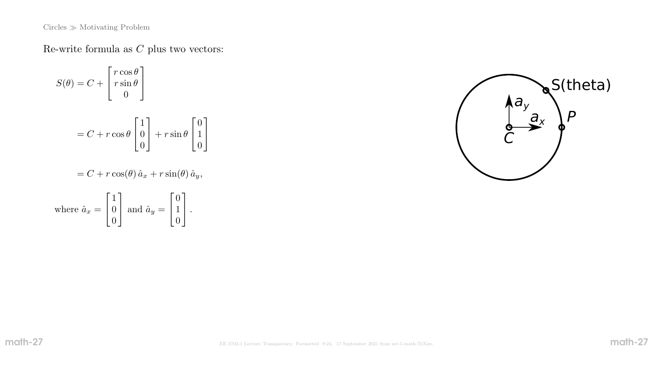$\mathrm{Circles} \gg \mathrm{Motivating}$  Problem

Re-write formula as  $\cal C$  plus two vectors:

$$
S(\theta) = C + \begin{bmatrix} r \cos \theta \\ r \sin \theta \\ 0 \end{bmatrix}
$$
  
= C + r cos  $\theta$   $\begin{bmatrix} 1 \\ 0 \\ 0 \end{bmatrix}$  + r sin  $\theta$   $\begin{bmatrix} 0 \\ 1 \\ 0 \end{bmatrix}$   
= C + r cos $(\theta)$   $\hat{a}_x$  + r sin $(\theta)$   $\hat{a}_y$ ,  
 $\begin{bmatrix} 1 \end{bmatrix}$   $\begin{bmatrix} 0 \end{bmatrix}$ 

where 
$$
\hat{a}_x = \begin{bmatrix} 1 \\ 0 \\ 0 \end{bmatrix}
$$
 and  $\hat{a}_y = \begin{bmatrix} 0 \\ 1 \\ 0 \end{bmatrix}$ .

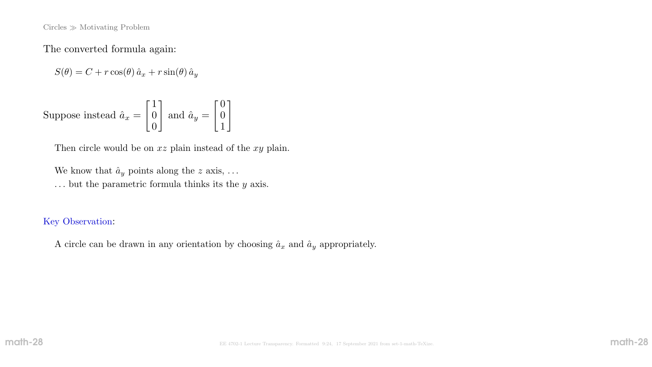$Circles \gg Motivating Problem$ 

The converted formula again:

 $S(\theta) = C + r \cos(\theta) \hat{a}_x + r \sin(\theta) \hat{a}_y$ 

Suppose instead  $\hat{a}_x =$  $\lceil 1 \rceil$ 0 0 1 and  $\hat{a}_y =$  $\sqrt{0}$ 0 1  $\overline{\phantom{a}}$ 

Then circle would be on  $xz$  plain instead of the  $xy$  plain.

We know that  $\hat{a}_y$  points along the z axis, ...  $\ldots$  but the parametric formula thinks its the  $y$  axis.

#### Key Observation:

A circle can be drawn in any orientation by choosing  $\hat{a}_x$  and  $\hat{a}_y$  appropriately.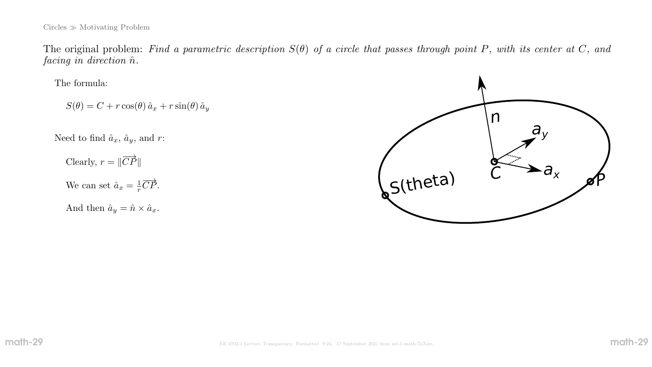The original problem: Find a parametric description  $S(\theta)$  of a circle that passes through point P, with its center at C, and  $facing\ in\ direction\ \hat{n}$ .

The formula:

 $S(\theta) = C + r \cos(\theta) \hat{a}_x + r \sin(\theta) \hat{a}_y$ 

Need to find  $\hat{a}_x$ ,  $\hat{a}_y$ , and r:

Clearly,  $r = ||\overrightarrow{CP}||$ We can set  $\hat{a}_x = \frac{1}{r}$  $\frac{1}{r}\overrightarrow{CP}.$ 

And then  $\hat{a}_y = \hat{n} \times \hat{a}_x$ .

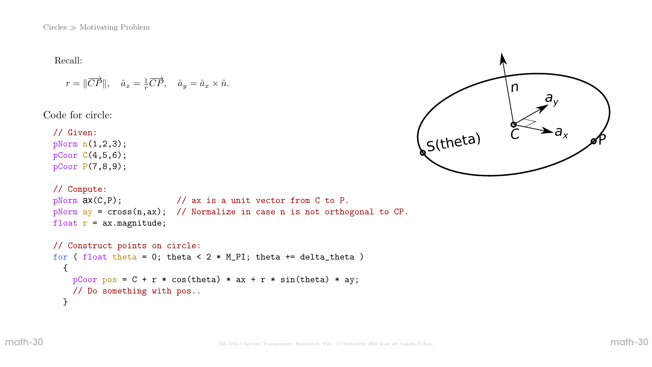$Circles \gg Motivating Problem$ 

Recall:

$$
r = ||\overrightarrow{CP}||
$$
,  $\hat{a}_x = \frac{1}{r}\overrightarrow{CP}$ ,  $\hat{a}_y = \hat{a}_x \times \hat{n}$ .

Code for circle:

// Given: pNorm n(1,2,3); pCoor C(4,5,6); pCoor P(7,8,9);

```
// Compute:
pNorm ax(C, P); // ax is a unit vector from C to P.pNorm ay = cross(n,ax); // Normalize in case n is not orthogonal to CP.
float r = ax.magnitude;
```

```
// Construct points on circle:
for ( float theta = 0; theta < 2 * M_P I; theta += delta_theta )
  {
    pCoor pos = C + r * cos(theta) * ax + r * sin(theta) * ay;// Do something with pos..
  }
```
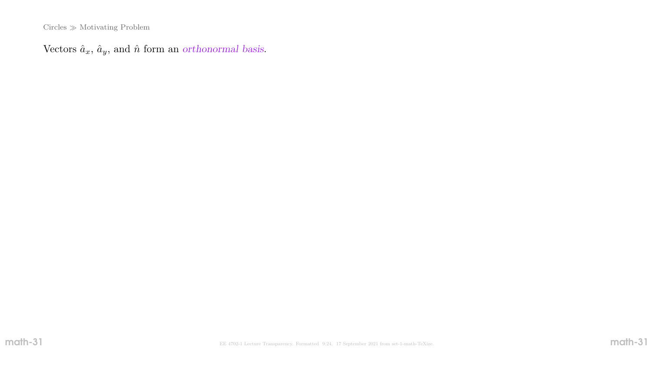$\rm Circles \gg \rm Motivating$  Problem

Vectors  $\hat{a}_x$ ,  $\hat{a}_y$ , and  $\hat{n}$  form an orthonormal basis.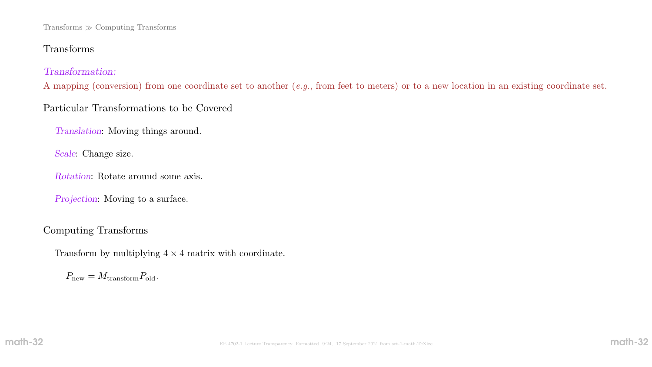#### Transforms Computing Transforms

# Transforms

### Transformation:

A mapping (conversion) from one coordinate set to another (e.g., from feet to meters) or to a new location in an existing coordinate set.

# Particular Transformations to be Covered

Translation: Moving things around.

Scale: Change size.

Rotation: Rotate around some axis.

Projection: Moving to a surface.

## Computing Transforms

Transform by multiplying  $4 \times 4$  matrix with coordinate.

 $P_{\text{new}} = M_{\text{transform}} P_{\text{old}}.$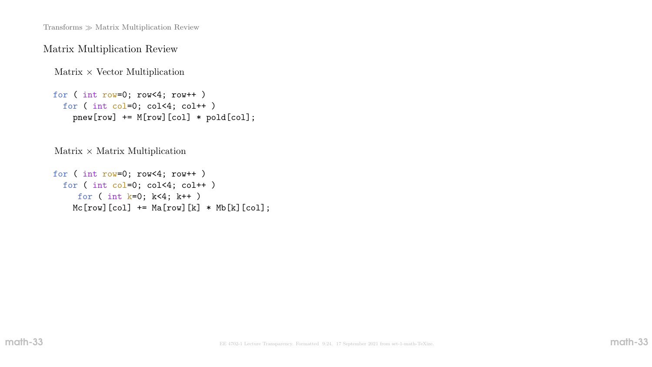Transforms  $\gg$  Matrix Multiplication Review

### Matrix Multiplication Review

Matrix  $\times$  Vector Multiplication

```
for ( int row=0; row<4; row++ )
 for ( int col=0; col<4; col++ )
   pnew[row] += M[row] [col] * pold[col];
```
 $Matrix \times Matrix$  Multiplication

```
for ( int row=0; row<4; row++ )
 for ( int col=0; col<4; col++ )
    for ( int k=0; k<4; k++ )
    Mc[row][col] += Ma[row][k] * Mb[k][col];
```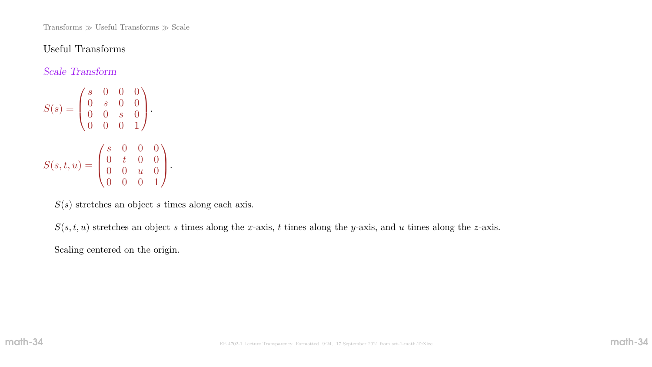Transforms  $\gg$  Useful Transforms  $\gg$  Scale

#### Useful Transforms

Scale Transform

 $S(s) =$  $\sqrt{ }$  $\mathbf{I}$ s 0 0 0 0 s 0 0  $0 \quad 0 \quad s \quad 0$ 0 0 0 1  $\setminus$  $\vert \cdot$  $S(s,t,u) =$  $\sqrt{ }$  $\overline{ }$ s 0 0 0  $0$  t  $0$   $0$  $0 \quad 0 \quad u \quad 0$ 0 0 0 1  $\setminus$  $\vert \cdot \vert$ 

 $S(s)$  stretches an object s times along each axis.

 $S(s, t, u)$  stretches an object s times along the x-axis, t times along the y-axis, and u times along the z-axis.

Scaling centered on the origin.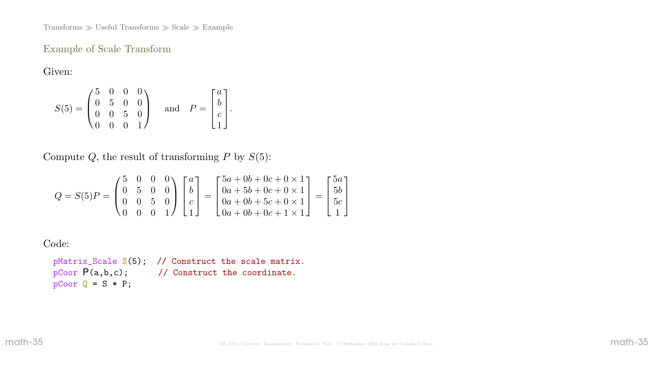Transforms  $\gg$  Useful Transforms  $\gg$  Scale  $\gg$  Example

### Example of Scale Transform

Given:

$$
S(5) = \begin{pmatrix} 5 & 0 & 0 & 0 \\ 0 & 5 & 0 & 0 \\ 0 & 0 & 5 & 0 \\ 0 & 0 & 0 & 1 \end{pmatrix} \text{ and } P = \begin{bmatrix} a \\ b \\ c \\ 1 \end{bmatrix}.
$$

Compute  $Q$ , the result of transforming  $P$  by  $S(5)$ :

$$
Q = S(5)P = \begin{pmatrix} 5 & 0 & 0 & 0 \\ 0 & 5 & 0 & 0 \\ 0 & 0 & 5 & 0 \\ 0 & 0 & 0 & 1 \end{pmatrix} \begin{bmatrix} a \\ b \\ c \\ 1 \end{bmatrix} = \begin{bmatrix} 5a + 0b + 0c + 0 \times 1 \\ 0a + 5b + 0c + 0 \times 1 \\ 0a + 0b + 5c + 0 \times 1 \\ 0a + 0b + 0c + 1 \times 1 \end{bmatrix} = \begin{bmatrix} 5a \\ 5b \\ 5c \\ 1 \end{bmatrix}
$$

Code:

pMatrix\_Scale S(5); // Construct the scale matrix. pCoor  $P(a,b,c)$ ; // Construct the coordinate.  $pCoor Q = S * P;$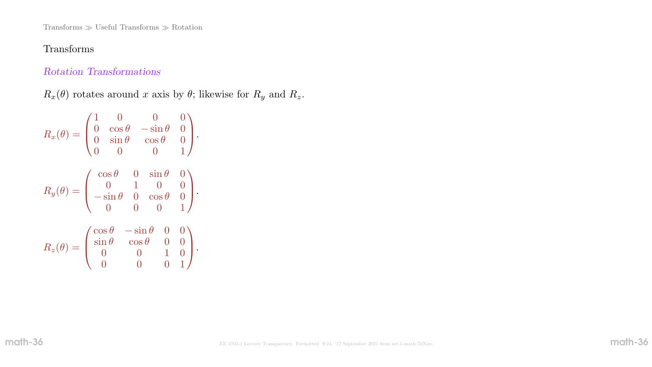Transforms  $\gg$  Useful Transforms  $\gg$  Rotation

# Transforms

### Rotation Transformations

 $R_x(\theta)$  rotates around x axis by  $\theta$ ; likewise for  $R_y$  and  $R_z$ .

$$
R_x(\theta) = \begin{pmatrix} 1 & 0 & 0 & 0 \\ 0 & \cos \theta & -\sin \theta & 0 \\ 0 & \sin \theta & \cos \theta & 0 \\ 0 & 0 & 0 & 1 \end{pmatrix}.
$$

$$
R_y(\theta) = \begin{pmatrix} \cos \theta & 0 & \sin \theta & 0 \\ 0 & 1 & 0 & 0 \\ -\sin \theta & 0 & \cos \theta & 0 \\ 0 & 0 & 0 & 1 \end{pmatrix}.
$$

$$
R_z(\theta) = \begin{pmatrix} \cos \theta & -\sin \theta & 0 & 0 \\ \sin \theta & \cos \theta & 0 & 0 \\ 0 & 0 & 1 & 0 \\ 0 & 0 & 0 & 1 \end{pmatrix}.
$$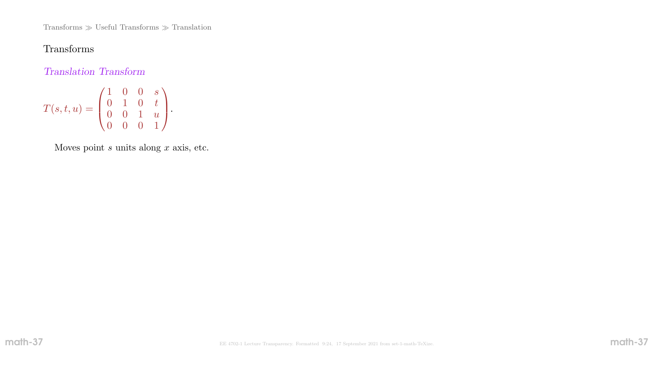Transforms  $\gg$  Useful Transforms  $\gg$  Translation

# Transforms

Translation Transform

$$
T(s,t,u) = \begin{pmatrix} 1 & 0 & 0 & s \\ 0 & 1 & 0 & t \\ 0 & 0 & 1 & u \\ 0 & 0 & 0 & 1 \end{pmatrix}.
$$

Moves point  $s$  units along  $x$  axis, etc.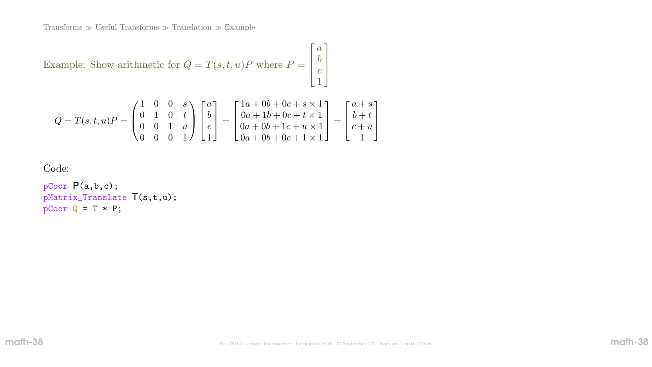Transforms  $\gg$  Useful Transforms  $\gg$  Translation  $\gg$  Example

Example: Show arithmetic for  $Q = T(s, t, u)P$  where  $P =$ Г J. T  $\overline{a}$ b  $\mathcal{C}_{0}^{(n)}$ 1 1  $\mathbb{R}$  $\begin{array}{c} \hline \end{array}$ 

$$
Q = T(s, t, u)P = \begin{pmatrix} 1 & 0 & 0 & s \\ 0 & 1 & 0 & t \\ 0 & 0 & 1 & u \\ 0 & 0 & 0 & 1 \end{pmatrix} \begin{bmatrix} a \\ b \\ c \\ 1 \end{bmatrix} = \begin{bmatrix} 1a + 0b + 0c + s \times 1 \\ 0a + 1b + 0c + t \times 1 \\ 0a + 0b + 1c + u \times 1 \\ 0a + 0b + 0c + 1 \times 1 \end{bmatrix} = \begin{bmatrix} a + s \\ b + t \\ c + u \\ 1 \end{bmatrix}
$$

Code:

pCoor P(a,b,c); pMatrix\_Translate T(s,t,u);  $pCoor Q = T * P;$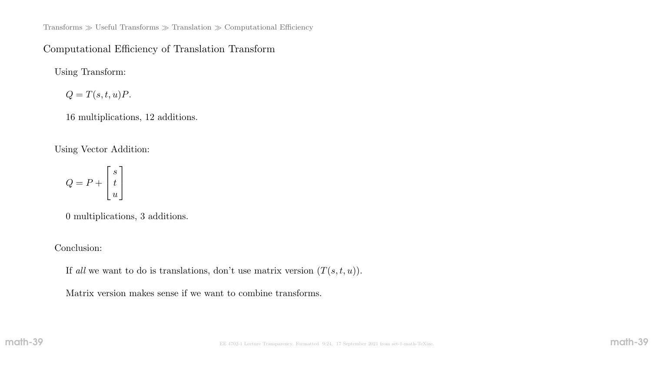Transforms  $\gg$  Useful Transforms  $\gg$  Translation  $\gg$  Computational Efficiency

### Computational Efficiency of Translation Transform

Using Transform:

 $Q = T(s, t, u)P.$ 

16 multiplications, 12 additions.

Using Vector Addition:

$$
Q = P + \left[\begin{matrix}s\\t\\u\end{matrix}\right]
$$

0 multiplications, 3 additions.

Conclusion:

If all we want to do is translations, don't use matrix version  $(T(s, t, u))$ .

Matrix version makes sense if we want to combine transforms.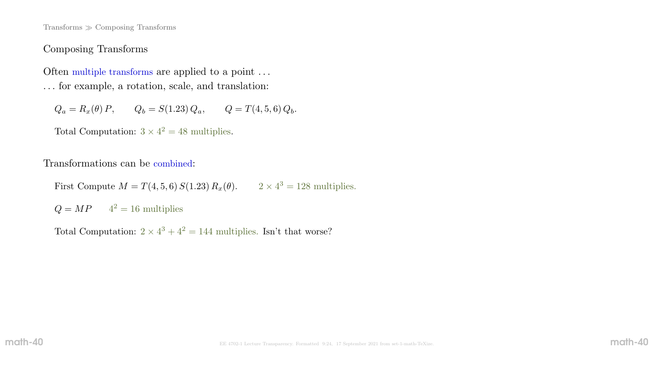Transforms Composing Transforms

### Composing Transforms

Often multiple transforms are applied to a point ... . . . for example, a rotation, scale, and translation:

 $Q_a = R_x(\theta) P$ ,  $Q_b = S(1.23) Q_a$ ,  $Q = T(4, 5, 6) Q_b$ .

Total Computation:  $3 \times 4^2 = 48$  multiplies.

Transformations can be combined:

First Compute  $M = T(4, 5, 6) S(1.23) R_x(\theta)$ .  $2 \times 4^3 = 128$  multiplies.

 $Q = MP$   $4^2 = 16$  multiplies

Total Computation:  $2 \times 4^3 + 4^2 = 144$  multiplies. Isn't that worse?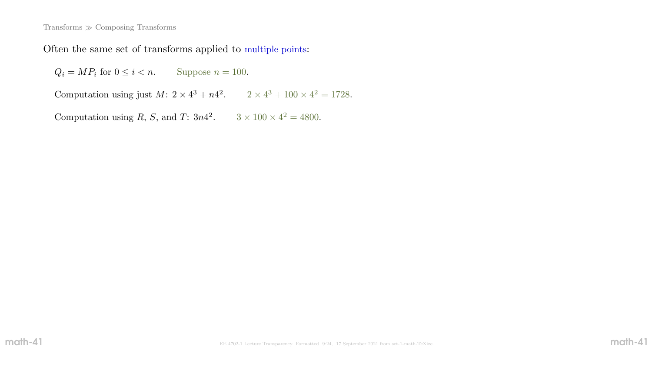#### Transforms Composing Transforms

Often the same set of transforms applied to multiple points:

 $Q_i = MP_i$  for  $0 \le i < n$ . Suppose  $n = 100$ .

Computation using just  $M: 2 \times 4^3 + n4^2$ .  $2 \times 4^3 + 100 \times 4^2 = 1728$ .

Computation using R, S, and T:  $3n4^2$ .  $3 \times 100 \times 4^2 = 4800$ .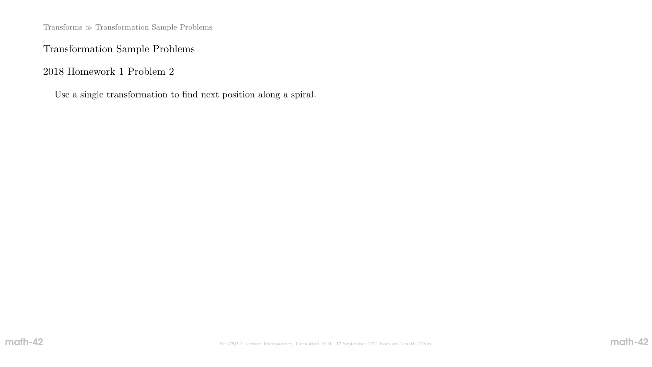$\mbox{{\sc Triborms}}\gg$  Transformation Sample Problems

# Transformation Sample Problems

2018 Homework 1 Problem 2

Use a single transformation to find next position along a spiral.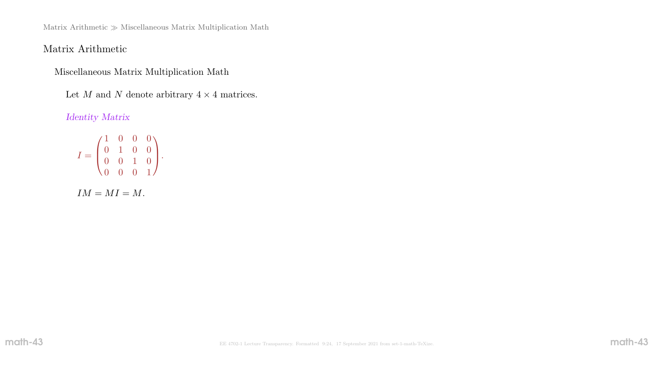Matrix Arithmetic  $\gg$  Miscellaneous Matrix Multiplication Math

# Matrix Arithmetic

Miscellaneous Matrix Multiplication Math

Let  $M$  and  $N$  denote arbitrary  $4 \times 4$  matrices.

### Identity Matrix

$$
I = \begin{pmatrix} 1 & 0 & 0 & 0 \\ 0 & 1 & 0 & 0 \\ 0 & 0 & 1 & 0 \\ 0 & 0 & 0 & 1 \end{pmatrix}.
$$

$$
IM=MI=M.
$$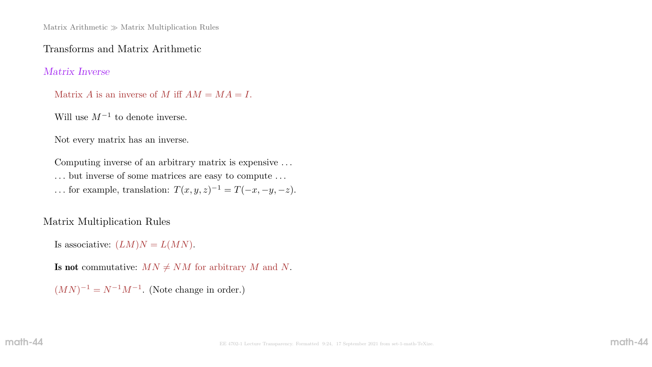### Transforms and Matrix Arithmetic

### Matrix Inverse

- Matrix A is an inverse of M iff  $AM = MA = I$ .
- Will use  $M^{-1}$  to denote inverse.

Not every matrix has an inverse.

Computing inverse of an arbitrary matrix is expensive . . . . . . but inverse of some matrices are easy to compute . . .

... for example, translation:  $T(x, y, z)^{-1} = T(-x, -y, -z)$ .

# Matrix Multiplication Rules

Is associative:  $(LM)N = L(MN)$ .

Is not commutative:  $MN \neq NM$  for arbitrary M and N.

 $(MN)^{-1} = N^{-1}M^{-1}$ . (Note change in order.)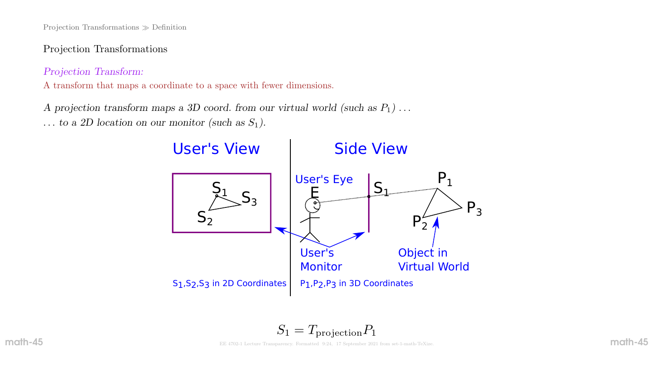Projection Transformations Definition

Projection Transformations

Projection Transform:

A transform that maps a coordinate to a space with fewer dimensions.

A projection transform maps a 3D coord. from our virtual world (such as  $P_1$ )... ... to a 2D location on our monitor (such as  $S_1$ ).

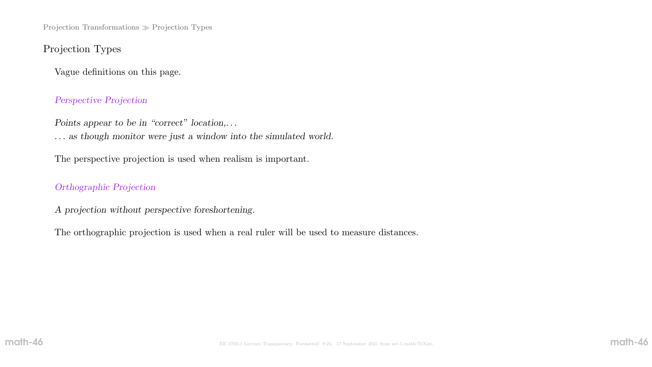Projection Transformations  $\gg$  Projection Types

# Projection Types

Vague definitions on this page.

#### Perspective Projection

Points appear to be in "correct" location,...

. . . as though monitor were just a window into the simulated world.

The perspective projection is used when realism is important.

#### Orthographic Projection

A projection without perspective foreshortening.

The orthographic projection is used when a real ruler will be used to measure distances.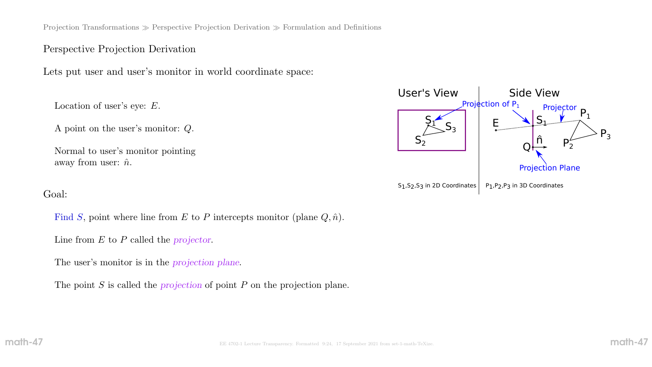Projection Transformations  $\gg$  Perspective Projection Derivation  $\gg$  Formulation and Definitions

### Perspective Projection Derivation

Lets put user and user's monitor in world coordinate space:

Location of user's eye: E.

A point on the user's monitor: Q.

Normal to user's monitor pointing away from user:  $\hat{n}$ .

#### Goal:

Find S, point where line from E to P intercepts monitor (plane  $Q, \hat{n}$ ).

Line from  $E$  to  $P$  called the projector.

The user's monitor is in the projection plane.

The point S is called the *projection* of point P on the projection plane.

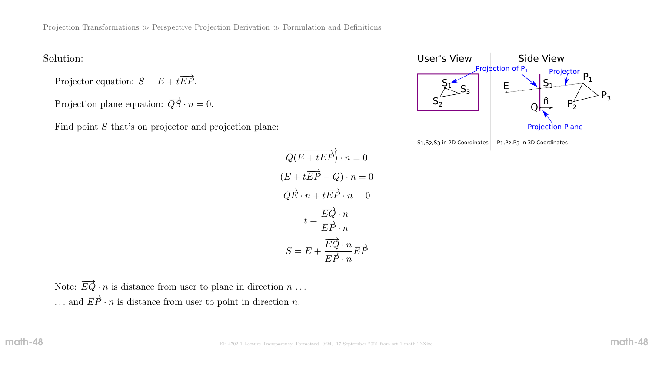### Solution:

Projector equation:  $S = E + t \overrightarrow{EP}$ .

Projection plane equation:  $\overrightarrow{QS} \cdot n = 0$ .

Find point S that's on projector and projection plane:

$$
\overrightarrow{Q(E+t\overrightarrow{EP})} \cdot n = 0
$$
  
(E+t\overrightarrow{EP} - Q) \cdot n = 0  

$$
\overrightarrow{QE} \cdot n + t\overrightarrow{EP} \cdot n = 0
$$
  

$$
t = \frac{\overrightarrow{EQ} \cdot n}{\overrightarrow{EP} \cdot n}
$$
  

$$
S = E + \frac{\overrightarrow{EQ} \cdot n}{\overrightarrow{EP} \cdot n} \overrightarrow{EP}
$$

Note:  $\overrightarrow{EQ} \cdot n$  is distance from user to plane in direction  $n \dots$ ... and  $\overrightarrow{EP} \cdot n$  is distance from user to point in direction n.

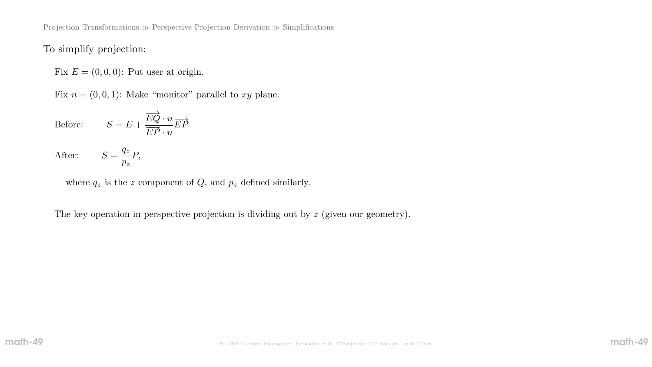Projection Transformations  $\gg$  Perspective Projection Derivation  $\gg$  Simplifications

## To simplify projection:

Fix  $E = (0, 0, 0)$ : Put user at origin.

Fix  $n = (0, 0, 1)$ : Make "monitor" parallel to xy plane.

Before:  $S = E +$  $\overrightarrow{EQ} \cdot n$  $\frac{1}{E\vec{P}\cdot n}$  $\overrightarrow{EP}$ 

P,

After:  $S =$  $q_{z}$  $p_{z}$ 

where  $q_z$  is the z component of  $Q$ , and  $p_z$  defined similarly.

The key operation in perspective projection is dividing out by  $z$  (given our geometry).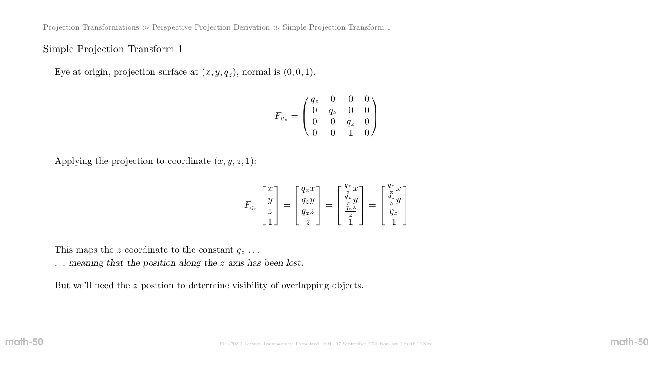Projection Transformations  $\gg$  Perspective Projection Derivation  $\gg$  Simple Projection Transform 1

### Simple Projection Transform 1

Eye at origin, projection surface at  $(x, y, q_z)$ , normal is  $(0, 0, 1)$ .

$$
F_{q_z} = \begin{pmatrix} q_z & 0 & 0 & 0 \\ 0 & q_z & 0 & 0 \\ 0 & 0 & q_z & 0 \\ 0 & 0 & 1 & 0 \end{pmatrix}
$$

Applying the projection to coordinate  $(x, y, z, 1)$ :

$$
F_{q_z}\begin{bmatrix} x \\ y \\ z \\ 1 \end{bmatrix} = \begin{bmatrix} q_z x \\ q_z y \\ q_z z \\ z \end{bmatrix} = \begin{bmatrix} \frac{q_z}{z} x \\ \frac{\tilde{q}_z}{z} y \\ \frac{\tilde{q}_z}{z} \\ 1 \end{bmatrix} = \begin{bmatrix} \frac{q_z}{z} x \\ \frac{\tilde{q}_z}{z} y \\ q_z \\ 1 \end{bmatrix}
$$

This maps the z coordinate to the constant  $q_z \dots$ 

. . . meaning that the position along the z axis has been lost.

But we'll need the z position to determine visibility of overlapping objects.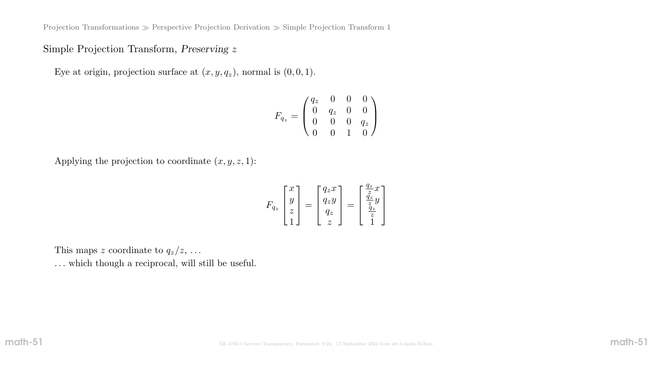Projection Transformations  $\gg$  Perspective Projection Derivation  $\gg$  Simple Projection Transform 1

### Simple Projection Transform, Preserving z

Eye at origin, projection surface at  $(x, y, q_z)$ , normal is  $(0, 0, 1)$ .

$$
F_{q_z} = \begin{pmatrix} q_z & 0 & 0 & 0 \\ 0 & q_z & 0 & 0 \\ 0 & 0 & 0 & q_z \\ 0 & 0 & 1 & 0 \end{pmatrix}
$$

Applying the projection to coordinate  $(x, y, z, 1)$ :

$$
F_{q_z} \begin{bmatrix} x \\ y \\ z \\ 1 \end{bmatrix} = \begin{bmatrix} q_z x \\ q_z y \\ q_z \\ z \end{bmatrix} = \begin{bmatrix} \frac{q_z}{z} x \\ \frac{q_z}{z} y \\ \frac{q_z}{z} \\ 1 \end{bmatrix}
$$

This maps z coordinate to  $q_z/z$ , ... ... which though a reciprocal, will still be useful.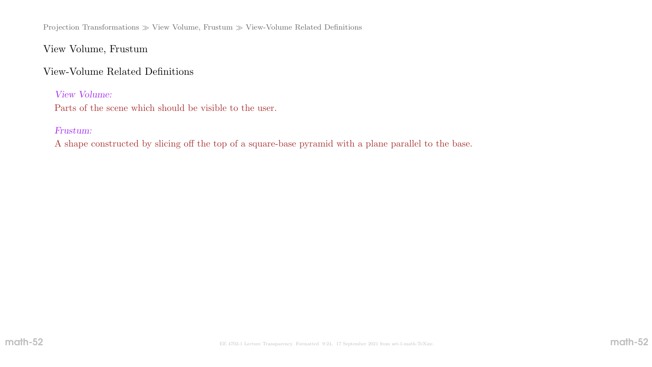Projection Transformations  $\gg$  View Volume, Frustum  $\gg$  View-Volume Related Definitions

View Volume, Frustum

View-Volume Related Definitions

View Volume:

Parts of the scene which should be visible to the user.

Frustum:

A shape constructed by slicing off the top of a square-base pyramid with a plane parallel to the base.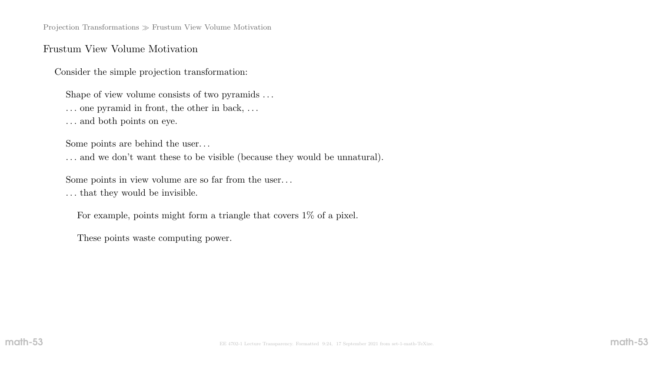Projection Transformations  $\gg$  Frustum View Volume Motivation

#### Frustum View Volume Motivation

Consider the simple projection transformation:

Shape of view volume consists of two pyramids . . .

- . . . one pyramid in front, the other in back, . . .
- $\ldots$  and both points on eye.

Some points are behind the user. . .

. . . and we don't want these to be visible (because they would be unnatural).

Some points in view volume are so far from the user. . .

. . . that they would be invisible.

For example, points might form a triangle that covers 1% of a pixel.

These points waste computing power.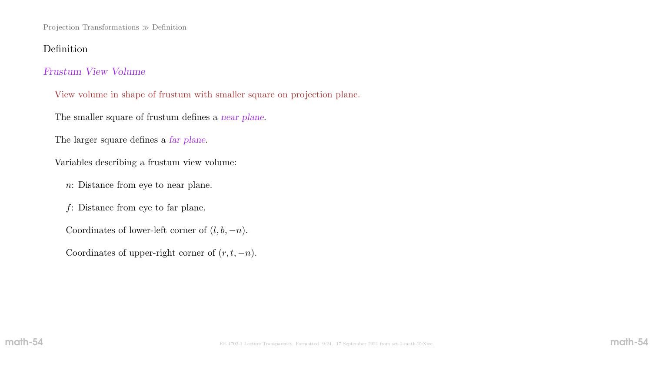Projection Transformations Definition

### Definition

### Frustum View Volume

View volume in shape of frustum with smaller square on projection plane.

The smaller square of frustum defines a near plane.

The larger square defines a *far plane*.

Variables describing a frustum view volume:

n: Distance from eye to near plane.

 $f$ : Distance from eye to far plane.

Coordinates of lower-left corner of  $(l, b, -n)$ .

Coordinates of upper-right corner of  $(r, t, -n)$ .